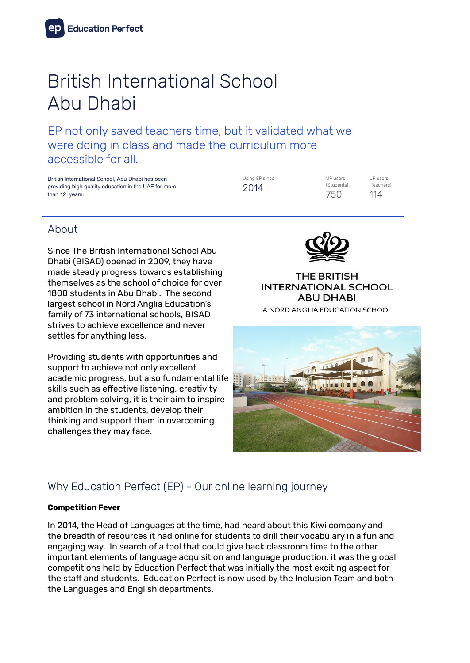# British International School Abu Dhabi

EP not only saved teachers time, but it validated what we were doing in class and made the curriculum more accessible for all.

British International School, Abu Dhabi has been providing high quality education in the UAE for more than 12 years.

Using EP since 2014

UP users (Students) 750

UP users (Teachers) 114

## About

Since The British International School Abu Dhabi (BISAD) opened in 2009, they have made steady progress towards establishing themselves as the school of choice for over 1800 students in Abu Dhabi. The second largest school in Nord Anglia Education's family of 73 international schools, BISAD strives to achieve excellence and never settles for anything less.

Providing students with opportunities and support to achieve not only excellent academic progress, but also fundamental life skills such as effective listening, creativity and problem solving, it is their aim to inspire ambition in the students, develop their thinking and support them in overcoming challenges they may face.



**THE BRITISH INTERNATIONAL SCHOOL ABU DHABI** A NORD ANGLIA EDUCATION SCHOOL



# Why Education Perfect (EP) - Our online learning journey

#### **Competition Fever**

In 2014, the Head of Languages at the time, had heard about this Kiwi company and the breadth of resources it had online for students to drill their vocabulary in a fun and engaging way. In search of a tool that could give back classroom time to the other important elements of language acquisition and language production, it was the global competitions held by Education Perfect that was initially the most exciting aspect for the staff and students. Education Perfect is now used by the Inclusion Team and both the Languages and English departments.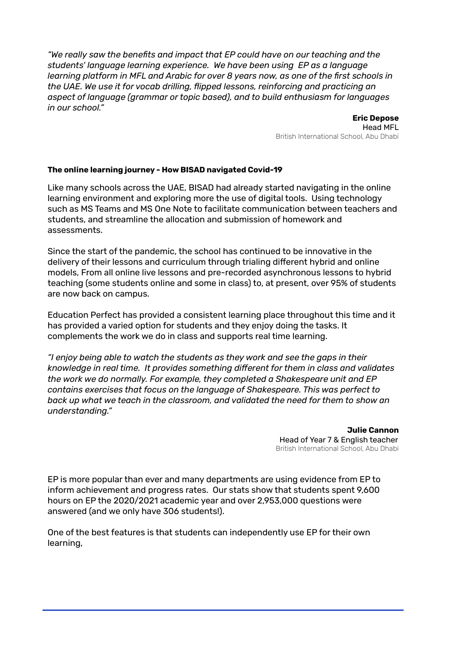*"We really saw the benefits and impact that EP could have on our teaching and the students' language learning experience. We have been using EP as a language learning platform in MFL and Arabic for over 8 years now, as one of the first schools in the UAE. We use it for vocab drilling, flipped lessons, reinforcing and practicing an aspect of language (grammar or topic based), and to build enthusiasm for languages in our school."*

> **Eric Depose** Head MFL British International School, Abu Dhabi

#### **The online learning journey - How BISAD navigated Covid-19**

Like many schools across the UAE, BISAD had already started navigating in the online learning environment and exploring more the use of digital tools. Using technology such as MS Teams and MS One Note to facilitate communication between teachers and students, and streamline the allocation and submission of homework and assessments.

Since the start of the pandemic, the school has continued to be innovative in the delivery of their lessons and curriculum through trialing different hybrid and online models, From all online live lessons and pre-recorded asynchronous lessons to hybrid teaching (some students online and some in class) to, at present, over 95% of students are now back on campus.

Education Perfect has provided a consistent learning place throughout this time and it has provided a varied option for students and they enjoy doing the tasks. It complements the work we do in class and supports real time learning.

*"I enjoy being able to watch the students as they work and see the gaps in their knowledge in real time. It provides something different for them in class and validates the work we do normally. For example, they completed a Shakespeare unit and EP contains exercises that focus on the language of Shakespeare. This was perfect to back up what we teach in the classroom, and validated the need for them to show an understanding."*

> **Julie Cannon** Head of Year 7 & English teacher British International School, Abu Dhabi

EP is more popular than ever and many departments are using evidence from EP to inform achievement and progress rates. Our stats show that students spent 9,600 hours on EP the 2020/2021 academic year and over 2,953,000 questions were answered (and we only have 306 students!).

One of the best features is that students can independently use EP for their own learning,